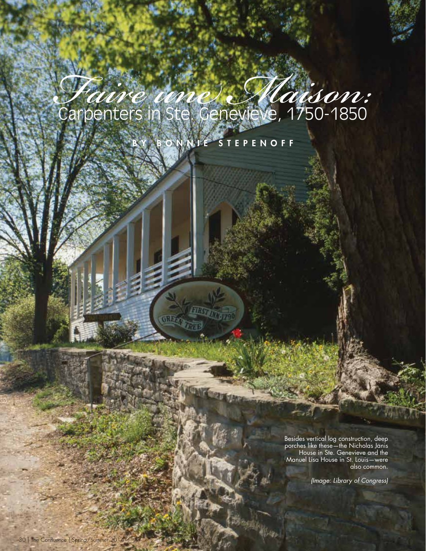## *Faire une Maison:* Carpenters in Ste. Genevieve, 1750-1850

BONNIE STEPENOFF

**ERST** 

GREET

Besides vertical log construction, deep porches like these—the Nicholas Janis House in Ste. Genevieve and the Manuel Lisa House in St. Louis—were also common.

*(Image: Library of Congress)*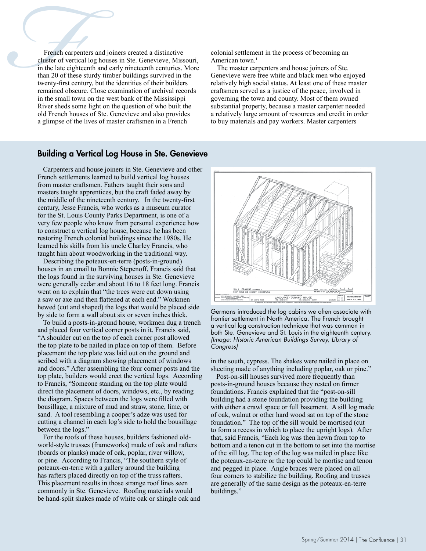**French carpenters and joiners created a distinctive cluster of vertical log houses in Ste. Genevieve, Miss in the late eighteenth and early nineteenth centuries. I than 20 of these sturdy timber buildings survived in twen** cluster of vertical log houses in Ste. Genevieve, Missouri, in the late eighteenth and early nineteenth centuries. More than 20 of these sturdy timber buildings survived in the twenty-first century, but the identities of their builders remained obscure. Close examination of archival records in the small town on the west bank of the Mississippi River sheds some light on the question of who built the old French houses of Ste. Genevieve and also provides a glimpse of the lives of master craftsmen in a French

colonial settlement in the process of becoming an American town.<sup>1</sup>

The master carpenters and house joiners of Ste. Genevieve were free white and black men who enjoyed relatively high social status. At least one of these master craftsmen served as a justice of the peace, involved in governing the town and county. Most of them owned substantial property, because a master carpenter needed a relatively large amount of resources and credit in order to buy materials and pay workers. Master carpenters

## Building a Vertical Log House in Ste. Genevieve

Carpenters and house joiners in Ste. Genevieve and other French settlements learned to build vertical log houses from master craftsmen. Fathers taught their sons and masters taught apprentices, but the craft faded away by the middle of the nineteenth century. In the twenty-first century, Jesse Francis, who works as a museum curator for the St. Louis County Parks Department, is one of a very few people who know from personal experience how to construct a vertical log house, because he has been restoring French colonial buildings since the 1980s. He learned his skills from his uncle Charley Francis, who taught him about woodworking in the traditional way.

Describing the poteaux-en-terre (posts-in-ground) houses in an email to Bonnie Stepenoff, Francis said that the logs found in the surviving houses in Ste. Genevieve were generally cedar and about 16 to 18 feet long. Francis went on to explain that "the trees were cut down using a saw or axe and then flattened at each end." Workmen hewed (cut and shaped) the logs that would be placed side by side to form a wall about six or seven inches thick.

To build a posts-in-ground house, workmen dug a trench and placed four vertical corner posts in it. Francis said, "A shoulder cut on the top of each corner post allowed the top plate to be nailed in place on top of them. Before placement the top plate was laid out on the ground and scribed with a diagram showing placement of windows and doors." After assembling the four corner posts and the top plate, builders would erect the vertical logs. According to Francis, "Someone standing on the top plate would direct the placement of doors, windows, etc., by reading the diagram. Spaces between the logs were filled with bousillage, a mixture of mud and straw, stone, lime, or sand. A tool resembling a cooper's adze was used for cutting a channel in each log's side to hold the bousillage between the logs."

For the roofs of these houses, builders fashioned oldworld-style trusses (frameworks) made of oak and rafters (boards or planks) made of oak, poplar, river willow, or pine. According to Francis, "The southern style of poteaux-en-terre with a gallery around the building has rafters placed directly on top of the truss rafters. This placement results in those strange roof lines seen commonly in Ste. Genevieve. Roofing materials would be hand-split shakes made of white oak or shingle oak and



Germans introduced the log cabins we often associate with frontier settlement in North America. The French brought a vertical log construction technique that was common in both Ste. Genevieve and St. Louis in the eighteenth century. *(Image: Historic American Buildings Survey, Library of Congress)*

in the south, cypress. The shakes were nailed in place on sheeting made of anything including poplar, oak or pine."

Post-on-sill houses survived more frequently than posts-in-ground houses because they rested on firmer foundations. Francis explained that the "post-on-sill building had a stone foundation providing the building with either a crawl space or full basement. A sill log made of oak, walnut or other hard wood sat on top of the stone foundation." The top of the sill would be mortised (cut to form a recess in which to place the upright logs). After that, said Francis, "Each log was then hewn from top to bottom and a tenon cut in the bottom to set into the mortise of the sill log. The top of the log was nailed in place like the poteaux-en-terre or the top could be mortise and tenon and pegged in place. Angle braces were placed on all four corners to stabilize the building. Roofing and trusses are generally of the same design as the poteaux-en-terre buildings."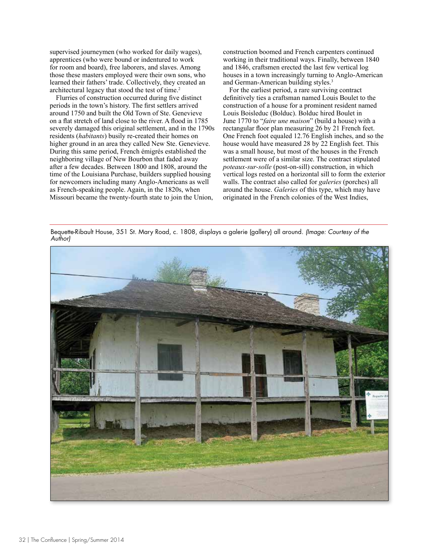supervised journeymen (who worked for daily wages), apprentices (who were bound or indentured to work for room and board), free laborers, and slaves. Among those these masters employed were their own sons, who learned their fathers' trade. Collectively, they created an architectural legacy that stood the test of time.2

Flurries of construction occurred during five distinct periods in the town's history. The first settlers arrived around 1750 and built the Old Town of Ste. Genevieve on a flat stretch of land close to the river. A flood in 1785 severely damaged this original settlement, and in the 1790s residents (*habitants*) busily re-created their homes on higher ground in an area they called New Ste. Genevieve. During this same period, French émigrés established the neighboring village of New Bourbon that faded away after a few decades. Between 1800 and 1808, around the time of the Louisiana Purchase, builders supplied housing for newcomers including many Anglo-Americans as well as French-speaking people. Again, in the 1820s, when Missouri became the twenty-fourth state to join the Union,

construction boomed and French carpenters continued working in their traditional ways. Finally, between 1840 and 1846, craftsmen erected the last few vertical log houses in a town increasingly turning to Anglo-American and German-American building styles.<sup>3</sup>

For the earliest period, a rare surviving contract definitively ties a craftsman named Louis Boulet to the construction of a house for a prominent resident named Louis Boisleduc (Bolduc). Bolduc hired Boulet in June 1770 to "*faire une maison*" (build a house) with a rectangular floor plan measuring 26 by 21 French feet. One French foot equaled 12.76 English inches, and so the house would have measured 28 by 22 English feet. This was a small house, but most of the houses in the French settlement were of a similar size. The contract stipulated *poteaux-sur-solle* (post-on-sill) construction, in which vertical logs rested on a horizontal sill to form the exterior walls. The contract also called for *galeries* (porches) all around the house. *Galeries* of this type, which may have originated in the French colonies of the West Indies,

Bequette-Ribault House, 351 St. Mary Road, c. 1808, displays a galerie (gallery) all around. *(Image: Courtesy of the Author)*

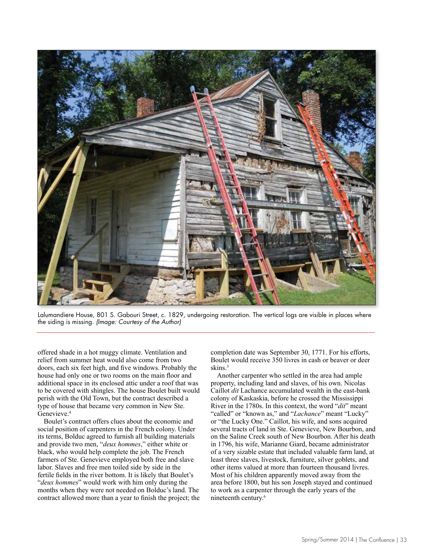

Lalumandiere House, 801 S. Gabouri Street, c. 1829, undergoing restoration. The vertical logs are visible in places where the siding is missing. *(Image: Courtesy of the Author)*

offered shade in a hot muggy climate. Ventilation and relief from summer heat would also come from two doors, each six feet high, and five windows. Probably the house had only one or two rooms on the main floor and additional space in its enclosed attic under a roof that was to be covered with shingles. The house Boulet built would perish with the Old Town, but the contract described a type of house that became very common in New Ste. Genevieve.4

Boulet's contract offers clues about the economic and social position of carpenters in the French colony. Under its terms, Bolduc agreed to furnish all building materials and provide two men, "*deux hommes*," either white or black, who would help complete the job. The French farmers of Ste. Genevieve employed both free and slave labor. Slaves and free men toiled side by side in the fertile fields in the river bottom. It is likely that Boulet's "*deux hommes*" would work with him only during the months when they were not needed on Bolduc's land. The contract allowed more than a year to finish the project; the completion date was September 30, 1771. For his efforts, Boulet would receive 350 livres in cash or beaver or deer skins.<sup>5</sup>

Another carpenter who settled in the area had ample property, including land and slaves, of his own. Nicolas Caillot *dit* Lachance accumulated wealth in the east-bank colony of Kaskaskia, before he crossed the Mississippi River in the 1780s. In this context, the word "*dit*" meant "called" or "known as," and "*Lachance*" meant "Lucky" or "the Lucky One." Caillot, his wife, and sons acquired several tracts of land in Ste. Genevieve, New Bourbon, and on the Saline Creek south of New Bourbon. After his death in 1796, his wife, Marianne Giard, became administrator of a very sizable estate that included valuable farm land, at least three slaves, livestock, furniture, silver goblets, and other items valued at more than fourteen thousand livres. Most of his children apparently moved away from the area before 1800, but his son Joseph stayed and continued to work as a carpenter through the early years of the nineteenth century.6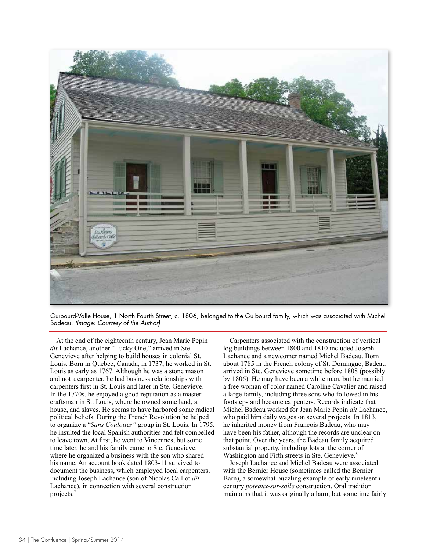

Guibourd-Valle House, 1 North Fourth Street, c. 1806, belonged to the Guibourd family, which was associated with Michel Badeau. *(Image: Courtesy of the Author)*

At the end of the eighteenth century, Jean Marie Pepin *dit* Lachance, another "Lucky One," arrived in Ste. Genevieve after helping to build houses in colonial St. Louis. Born in Quebec, Canada, in 1737, he worked in St. Louis as early as 1767. Although he was a stone mason and not a carpenter, he had business relationships with carpenters first in St. Louis and later in Ste. Genevieve. In the 1770s, he enjoyed a good reputation as a master craftsman in St. Louis, where he owned some land, a house, and slaves. He seems to have harbored some radical political beliefs. During the French Revolution he helped to organize a "*Sans Coulottes"* group in St. Louis. In 1795, he insulted the local Spanish authorities and felt compelled to leave town. At first, he went to Vincennes, but some time later, he and his family came to Ste. Genevieve, where he organized a business with the son who shared his name. An account book dated 1803-11 survived to document the business, which employed local carpenters, including Joseph Lachance (son of Nicolas Caillot *dit* Lachance), in connection with several construction projects.7

Carpenters associated with the construction of vertical log buildings between 1800 and 1810 included Joseph Lachance and a newcomer named Michel Badeau. Born about 1785 in the French colony of St. Domingue, Badeau arrived in Ste. Genevieve sometime before 1808 (possibly by 1806). He may have been a white man, but he married a free woman of color named Caroline Cavalier and raised a large family, including three sons who followed in his footsteps and became carpenters. Records indicate that Michel Badeau worked for Jean Marie Pepin *dit* Lachance, who paid him daily wages on several projects. In 1813, he inherited money from Francois Badeau, who may have been his father, although the records are unclear on that point. Over the years, the Badeau family acquired substantial property, including lots at the corner of Washington and Fifth streets in Ste. Genevieve.<sup>8</sup>

Joseph Lachance and Michel Badeau were associated with the Bernier House (sometimes called the Bernier Barn), a somewhat puzzling example of early nineteenthcentury *poteaux-sur-solle* construction. Oral tradition maintains that it was originally a barn, but sometime fairly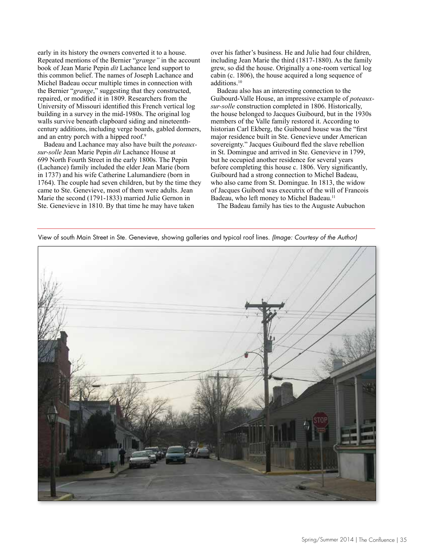early in its history the owners converted it to a house. Repeated mentions of the Bernier "*grange"* in the account book of Jean Marie Pepin *dit* Lachance lend support to this common belief. The names of Joseph Lachance and Michel Badeau occur multiple times in connection with the Bernier "*grange*," suggesting that they constructed, repaired, or modified it in 1809. Researchers from the University of Missouri identified this French vertical log building in a survey in the mid-1980s. The original log walls survive beneath clapboard siding and nineteenthcentury additions, including verge boards, gabled dormers, and an entry porch with a hipped roof.<sup>9</sup>

Badeau and Lachance may also have built the *poteauxsur-solle* Jean Marie Pepin *dit* Lachance House at 699 North Fourth Street in the early 1800s. The Pepin (Lachance) family included the elder Jean Marie (born in 1737) and his wife Catherine Lalumandiere (born in 1764). The couple had seven children, but by the time they came to Ste. Genevieve, most of them were adults. Jean Marie the second (1791-1833) married Julie Gernon in Ste. Genevieve in 1810. By that time he may have taken

over his father's business. He and Julie had four children, including Jean Marie the third (1817-1880). As the family grew, so did the house. Originally a one-room vertical log cabin (c. 1806), the house acquired a long sequence of additions.10

Badeau also has an interesting connection to the Guibourd-Valle House, an impressive example of *poteauxsur-solle* construction completed in 1806. Historically, the house belonged to Jacques Guibourd, but in the 1930s members of the Valle family restored it. According to historian Carl Ekberg, the Guibourd house was the "first major residence built in Ste. Genevieve under American sovereignty." Jacques Guibourd fled the slave rebellion in St. Domingue and arrived in Ste. Genevieve in 1799, but he occupied another residence for several years before completing this house c. 1806. Very significantly, Guibourd had a strong connection to Michel Badeau, who also came from St. Domingue. In 1813, the widow of Jacques Guibord was executrix of the will of Francois Badeau, who left money to Michel Badeau.<sup>11</sup>

The Badeau family has ties to the Auguste Aubuchon

View of south Main Street in Ste. Genevieve, showing galleries and typical roof lines. *(Image: Courtesy of the Author)*

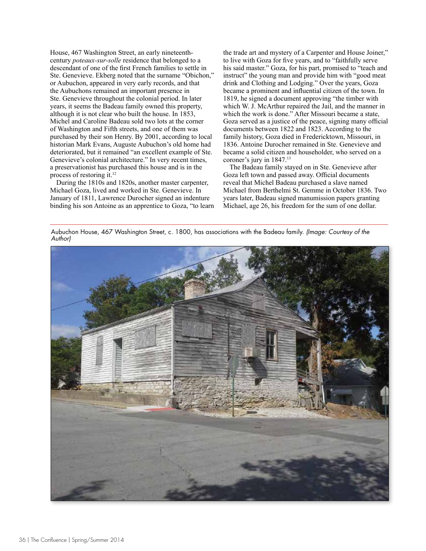House, 467 Washington Street, an early nineteenthcentury *poteaux-sur-solle* residence that belonged to a descendant of one of the first French families to settle in Ste. Genevieve. Ekberg noted that the surname "Obichon," or Aubuchon, appeared in very early records, and that the Aubuchons remained an important presence in Ste. Genevieve throughout the colonial period. In later years, it seems the Badeau family owned this property, although it is not clear who built the house. In 1853, Michel and Caroline Badeau sold two lots at the corner of Washington and Fifth streets, and one of them was purchased by their son Henry. By 2001, according to local historian Mark Evans, Auguste Aubuchon's old home had deteriorated, but it remained "an excellent example of Ste. Genevieve's colonial architecture." In very recent times, a preservationist has purchased this house and is in the process of restoring it.12

During the 1810s and 1820s, another master carpenter, Michael Goza, lived and worked in Ste. Genevieve. In January of 1811, Lawrence Durocher signed an indenture binding his son Antoine as an apprentice to Goza, "to learn the trade art and mystery of a Carpenter and House Joiner," to live with Goza for five years, and to "faithfully serve his said master." Goza, for his part, promised to "teach and instruct" the young man and provide him with "good meat drink and Clothing and Lodging." Over the years, Goza became a prominent and influential citizen of the town. In 1819, he signed a document approving "the timber with which W. J. McArthur repaired the Jail, and the manner in which the work is done." After Missouri became a state, Goza served as a justice of the peace, signing many official documents between 1822 and 1823. According to the family history, Goza died in Fredericktown, Missouri, in 1836. Antoine Durocher remained in Ste. Genevieve and became a solid citizen and householder, who served on a coroner's jury in 1847.<sup>13</sup>

The Badeau family stayed on in Ste. Genevieve after Goza left town and passed away. Official documents reveal that Michel Badeau purchased a slave named Michael from Berthelmi St. Gemme in October 1836. Two years later, Badeau signed manumission papers granting Michael, age 26, his freedom for the sum of one dollar.

Aubuchon House, 467 Washington Street, c. 1800, has associations with the Badeau family. *(Image: Courtesy of the Author)*

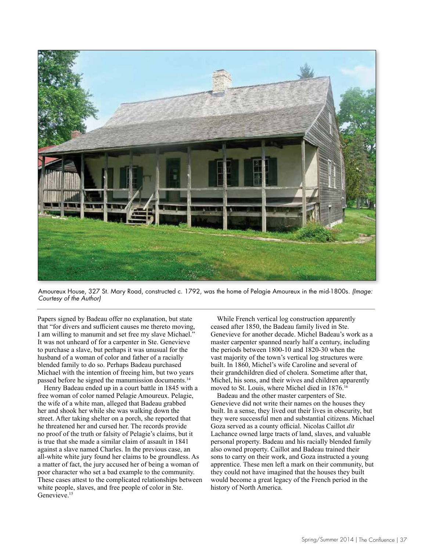

Amoureux House, 327 St. Mary Road, constructed c. 1792, was the home of Pelagie Amoureux in the mid-1800s. *(Image: Courtesy of the Author)*

Papers signed by Badeau offer no explanation, but state that "for divers and sufficient causes me thereto moving, I am willing to manumit and set free my slave Michael." It was not unheard of for a carpenter in Ste. Genevieve to purchase a slave, but perhaps it was unusual for the husband of a woman of color and father of a racially blended family to do so. Perhaps Badeau purchased Michael with the intention of freeing him, but two years passed before he signed the manumission documents.14

Henry Badeau ended up in a court battle in 1845 with a free woman of color named Pelagie Amoureux. Pelagie, the wife of a white man, alleged that Badeau grabbed her and shook her while she was walking down the street. After taking shelter on a porch, she reported that he threatened her and cursed her. The records provide no proof of the truth or falsity of Pelagie's claims, but it is true that she made a similar claim of assault in 1841 against a slave named Charles. In the previous case, an all-white white jury found her claims to be groundless. As a matter of fact, the jury accused her of being a woman of poor character who set a bad example to the community. These cases attest to the complicated relationships between white people, slaves, and free people of color in Ste. Genevieve.<sup>15</sup>

While French vertical log construction apparently ceased after 1850, the Badeau family lived in Ste. Genevieve for another decade. Michel Badeau's work as a master carpenter spanned nearly half a century, including the periods between 1800-10 and 1820-30 when the vast majority of the town's vertical log structures were built. In 1860, Michel's wife Caroline and several of their grandchildren died of cholera. Sometime after that, Michel, his sons, and their wives and children apparently moved to St. Louis, where Michel died in 1876.<sup>16</sup>

Badeau and the other master carpenters of Ste. Genevieve did not write their names on the houses they built. In a sense, they lived out their lives in obscurity, but they were successful men and substantial citizens. Michael Goza served as a county official. Nicolas Caillot *dit* Lachance owned large tracts of land, slaves, and valuable personal property. Badeau and his racially blended family also owned property. Caillot and Badeau trained their sons to carry on their work, and Goza instructed a young apprentice. These men left a mark on their community, but they could not have imagined that the houses they built would become a great legacy of the French period in the history of North America.